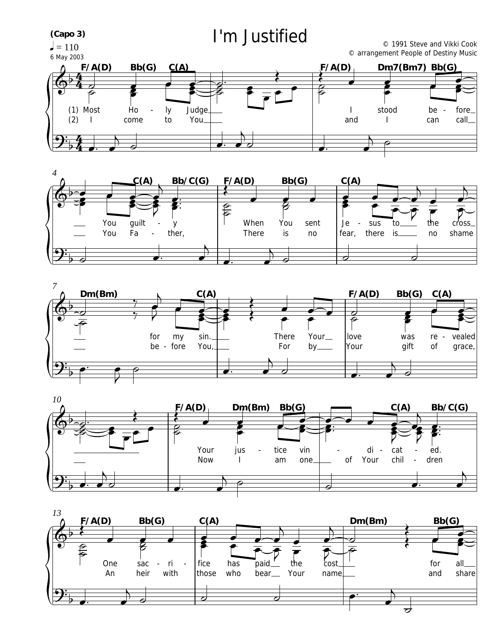